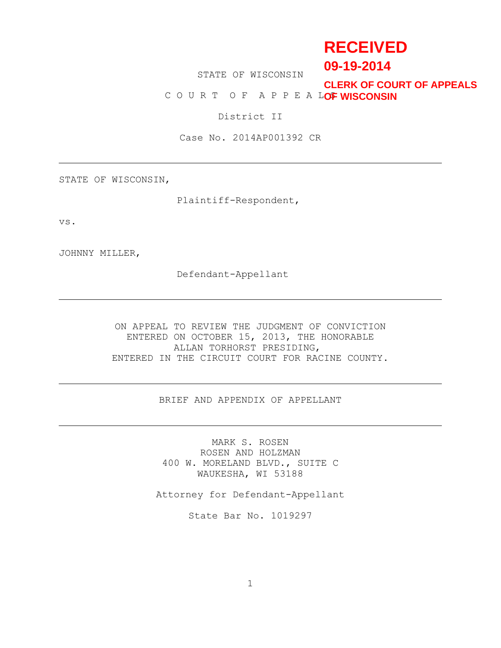# **RECEIVED**

**09-19-2014**

STATE OF WISCONSIN

COURT OF APPEALOF WISCONSIN **CLERK OF COURT OF APPEALS**

District II

Case No. 2014AP001392 CR

STATE OF WISCONSIN,

Plaintiff-Respondent,

vs.

JOHNNY MILLER,

Defendant-Appellant

ON APPEAL TO REVIEW THE JUDGMENT OF CONVICTION ENTERED ON OCTOBER 15, 2013, THE HONORABLE ALLAN TORHORST PRESIDING, ENTERED IN THE CIRCUIT COURT FOR RACINE COUNTY.

BRIEF AND APPENDIX OF APPELLANT

MARK S. ROSEN ROSEN AND HOLZMAN 400 W. MORELAND BLVD., SUITE C WAUKESHA, WI 53188

Attorney for Defendant-Appellant

State Bar No. 1019297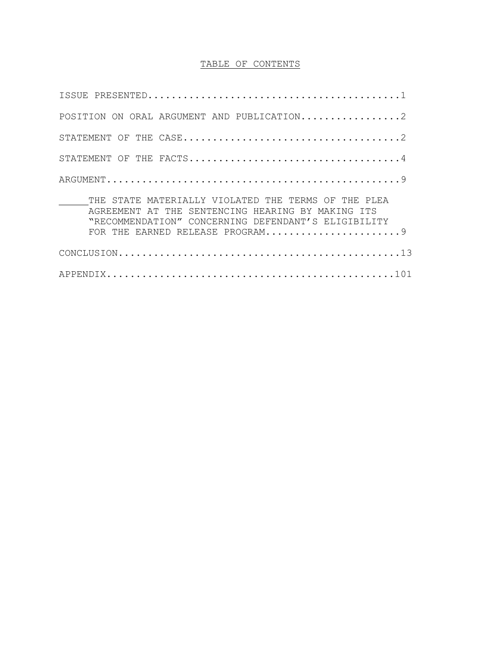## TABLE OF CONTENTS

| POSITION ON ORAL ARGUMENT AND PUBLICATION2                                                                                                                                                         |
|----------------------------------------------------------------------------------------------------------------------------------------------------------------------------------------------------|
|                                                                                                                                                                                                    |
|                                                                                                                                                                                                    |
|                                                                                                                                                                                                    |
| THE STATE MATERIALLY VIOLATED THE TERMS OF THE PLEA<br>AGREEMENT AT THE SENTENCING HEARING BY MAKING ITS<br>"RECOMMENDATION" CONCERNING DEFENDANT'S ELIGIBILITY<br>FOR THE EARNED RELEASE PROGRAM9 |
|                                                                                                                                                                                                    |
|                                                                                                                                                                                                    |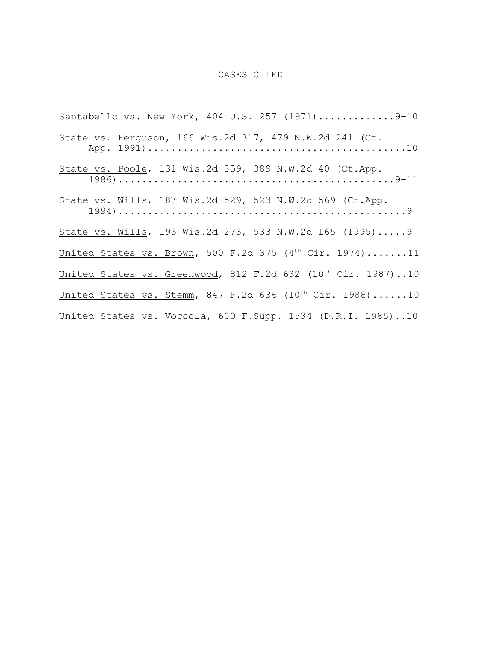#### CASES CITED

Santabello vs. New York, 404 U.S. 257 (1971)..............9-10 State vs. Ferguson, 166 Wis.2d 317, 479 N.W.2d 241 (Ct. App. 1991)............................................10 State vs. Poole, 131 Wis.2d 359, 389 N.W.2d 40 (Ct.App. 1986)...............................................9-11 State vs. Wills, 187 Wis.2d 529, 523 N.W.2d 569 (Ct.App. 1994).................................................9 State vs. Wills, 193 Wis.2d 273, 533 N.W.2d 165 (1995).....9 United States vs. Brown, 500 F.2d 375 ( $4<sup>th</sup> Cir. 1974$ ).......11 United States vs. Greenwood, 812 F.2d 632  $(10^{th}$  Cir. 1987)..10 United States vs. Stemm, 847 F.2d 636  $(10^{th}$  Cir. 1988)......10 United States vs. Voccola, 600 F.Supp. 1534 (D.R.I. 1985)..10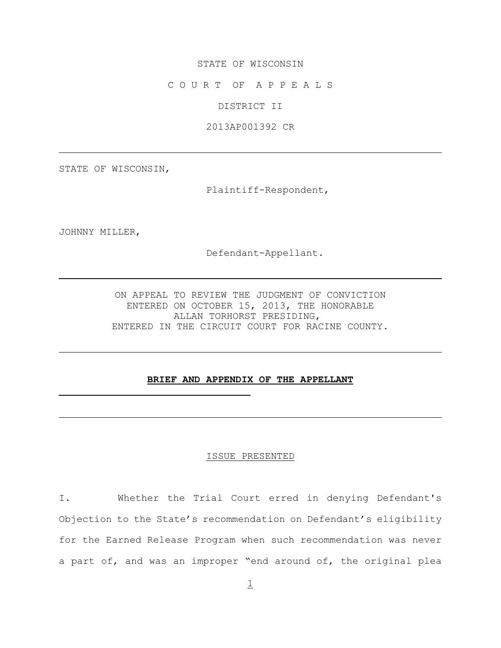## STATE OF WISCONSIN

C O U R T OF A P P E A L S

DISTRICT II

2013AP001392 CR

STATE OF WISCONSIN,

Plaintiff-Respondent,

JOHNNY MILLER,

Defendant-Appellant.

ON APPEAL TO REVIEW THE JUDGMENT OF CONVICTION ENTERED ON OCTOBER 15, 2013, THE HONORABLE ALLAN TORHORST PRESIDING, ENTERED IN THE CIRCUIT COURT FOR RACINE COUNTY.

## **BRIEF AND APPENDIX OF THE APPELLANT**

#### ISSUE PRESENTED

I. Whether the Trial Court erred in denying Defendant's Objection to the State's recommendation on Defendant's eligibility for the Earned Release Program when such recommendation was never a part of, and was an improper "end around of, the original plea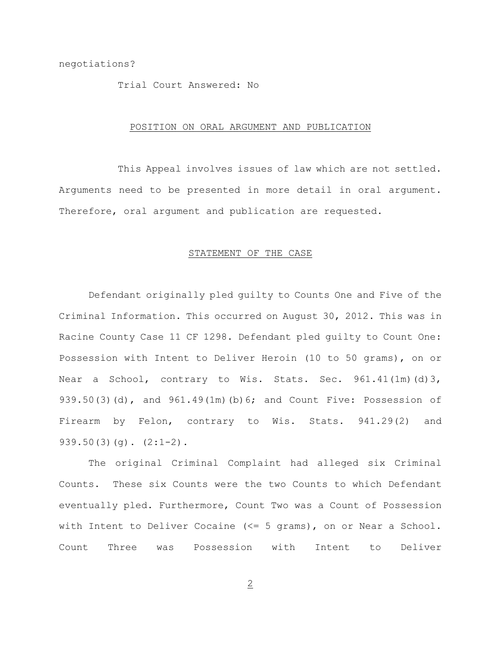#### Trial Court Answered: No

#### POSITION ON ORAL ARGUMENT AND PUBLICATION

This Appeal involves issues of law which are not settled. Arguments need to be presented in more detail in oral argument. Therefore, oral argument and publication are requested.

#### STATEMENT OF THE CASE

Defendant originally pled guilty to Counts One and Five of the Criminal Information. This occurred on August 30, 2012. This was in Racine County Case 11 CF 1298. Defendant pled guilty to Count One: Possession with Intent to Deliver Heroin (10 to 50 grams), on or Near a School, contrary to Wis. Stats. Sec. 961.41(1m)(d)3, 939.50(3)(d), and 961.49(1m)(b)6; and Count Five: Possession of Firearm by Felon, contrary to Wis. Stats. 941.29(2) and  $939.50(3)(q)$ .  $(2:1-2)$ .

The original Criminal Complaint had alleged six Criminal Counts. These six Counts were the two Counts to which Defendant eventually pled. Furthermore, Count Two was a Count of Possession with Intent to Deliver Cocaine (<= 5 grams), on or Near a School. Count Three was Possession with Intent to Deliver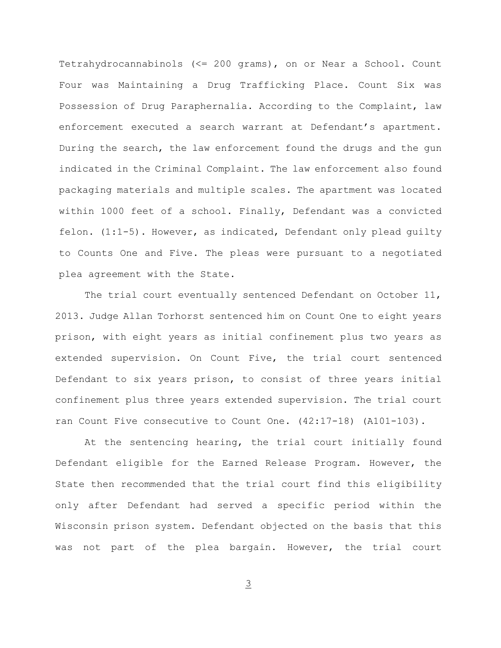Tetrahydrocannabinols (<= 200 grams), on or Near a School. Count Four was Maintaining a Drug Trafficking Place. Count Six was Possession of Drug Paraphernalia. According to the Complaint, law enforcement executed a search warrant at Defendant's apartment. During the search, the law enforcement found the drugs and the gun indicated in the Criminal Complaint. The law enforcement also found packaging materials and multiple scales. The apartment was located within 1000 feet of a school. Finally, Defendant was a convicted felon. (1:1-5). However, as indicated, Defendant only plead guilty to Counts One and Five. The pleas were pursuant to a negotiated plea agreement with the State.

The trial court eventually sentenced Defendant on October 11, 2013. Judge Allan Torhorst sentenced him on Count One to eight years prison, with eight years as initial confinement plus two years as extended supervision. On Count Five, the trial court sentenced Defendant to six years prison, to consist of three years initial confinement plus three years extended supervision. The trial court ran Count Five consecutive to Count One. (42:17-18) (A101-103).

At the sentencing hearing, the trial court initially found Defendant eligible for the Earned Release Program. However, the State then recommended that the trial court find this eligibility only after Defendant had served a specific period within the Wisconsin prison system. Defendant objected on the basis that this was not part of the plea bargain. However, the trial court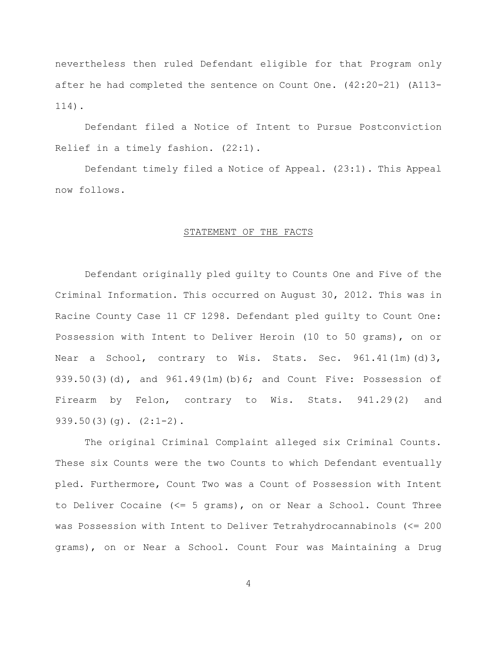nevertheless then ruled Defendant eligible for that Program only after he had completed the sentence on Count One. (42:20-21) (A113- 114).

Defendant filed a Notice of Intent to Pursue Postconviction Relief in a timely fashion. (22:1).

Defendant timely filed a Notice of Appeal. (23:1). This Appeal now follows.

#### STATEMENT OF THE FACTS

Defendant originally pled guilty to Counts One and Five of the Criminal Information. This occurred on August 30, 2012. This was in Racine County Case 11 CF 1298. Defendant pled guilty to Count One: Possession with Intent to Deliver Heroin (10 to 50 grams), on or Near a School, contrary to Wis. Stats. Sec. 961.41(1m)(d)3, 939.50(3)(d), and 961.49(1m)(b)6; and Count Five: Possession of Firearm by Felon, contrary to Wis. Stats. 941.29(2) and  $939.50(3)(q)$ .  $(2:1-2)$ .

The original Criminal Complaint alleged six Criminal Counts. These six Counts were the two Counts to which Defendant eventually pled. Furthermore, Count Two was a Count of Possession with Intent to Deliver Cocaine (<= 5 grams), on or Near a School. Count Three was Possession with Intent to Deliver Tetrahydrocannabinols (<= 200 grams), on or Near a School. Count Four was Maintaining a Drug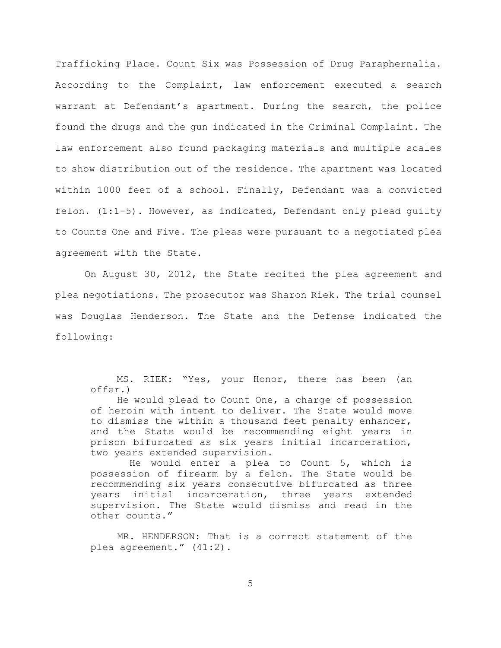Trafficking Place. Count Six was Possession of Drug Paraphernalia. According to the Complaint, law enforcement executed a search warrant at Defendant's apartment. During the search, the police found the drugs and the gun indicated in the Criminal Complaint. The law enforcement also found packaging materials and multiple scales to show distribution out of the residence. The apartment was located within 1000 feet of a school. Finally, Defendant was a convicted felon. (1:1-5). However, as indicated, Defendant only plead guilty to Counts One and Five. The pleas were pursuant to a negotiated plea agreement with the State.

On August 30, 2012, the State recited the plea agreement and plea negotiations. The prosecutor was Sharon Riek. The trial counsel was Douglas Henderson. The State and the Defense indicated the following:

 MS. RIEK: "Yes, your Honor, there has been (an offer.)

He would plead to Count One, a charge of possession of heroin with intent to deliver. The State would move to dismiss the within a thousand feet penalty enhancer, and the State would be recommending eight years in prison bifurcated as six years initial incarceration, two years extended supervision.

 He would enter a plea to Count 5, which is possession of firearm by a felon. The State would be recommending six years consecutive bifurcated as three years initial incarceration, three years extended supervision. The State would dismiss and read in the other counts."

 MR. HENDERSON: That is a correct statement of the plea agreement." (41:2).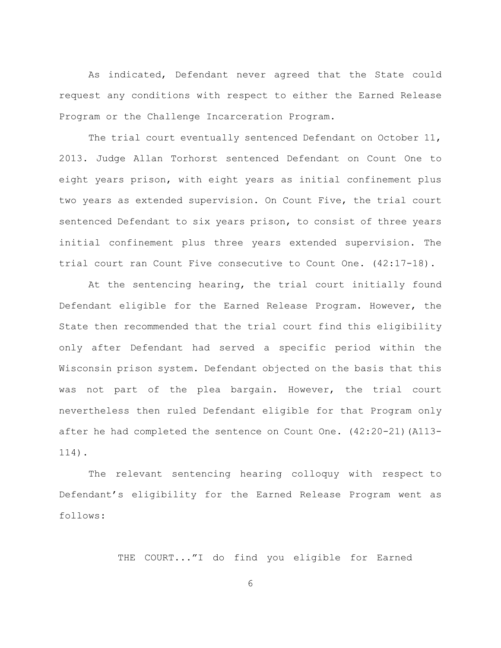As indicated, Defendant never agreed that the State could request any conditions with respect to either the Earned Release Program or the Challenge Incarceration Program.

The trial court eventually sentenced Defendant on October 11, 2013. Judge Allan Torhorst sentenced Defendant on Count One to eight years prison, with eight years as initial confinement plus two years as extended supervision. On Count Five, the trial court sentenced Defendant to six years prison, to consist of three years initial confinement plus three years extended supervision. The trial court ran Count Five consecutive to Count One. (42:17-18).

At the sentencing hearing, the trial court initially found Defendant eligible for the Earned Release Program. However, the State then recommended that the trial court find this eligibility only after Defendant had served a specific period within the Wisconsin prison system. Defendant objected on the basis that this was not part of the plea bargain. However, the trial court nevertheless then ruled Defendant eligible for that Program only after he had completed the sentence on Count One. (42:20-21)(A113- 114).

The relevant sentencing hearing colloquy with respect to Defendant's eligibility for the Earned Release Program went as follows:

THE COURT..."I do find you eligible for Earned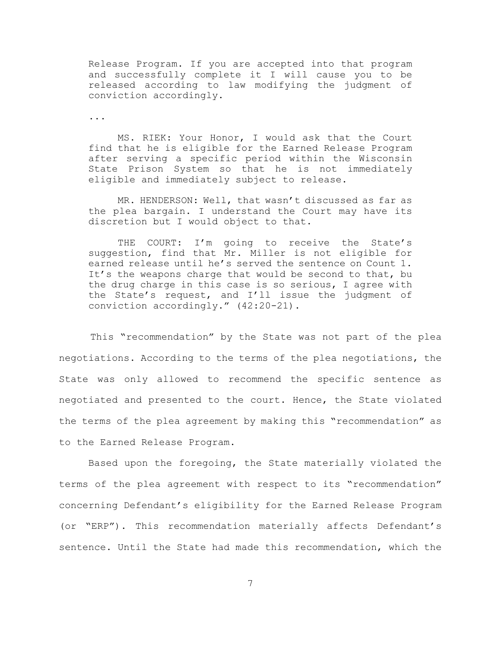Release Program. If you are accepted into that program and successfully complete it I will cause you to be released according to law modifying the judgment of conviction accordingly.

...

MS. RIEK: Your Honor, I would ask that the Court find that he is eligible for the Earned Release Program after serving a specific period within the Wisconsin State Prison System so that he is not immediately eligible and immediately subject to release.

MR. HENDERSON: Well, that wasn't discussed as far as the plea bargain. I understand the Court may have its discretion but I would object to that.

THE COURT: I'm going to receive the State's suggestion, find that Mr. Miller is not eligible for earned release until he's served the sentence on Count 1. It's the weapons charge that would be second to that, bu the drug charge in this case is so serious, I agree with the State's request, and I'll issue the judgment of conviction accordingly." (42:20-21).

 This "recommendation" by the State was not part of the plea negotiations. According to the terms of the plea negotiations, the State was only allowed to recommend the specific sentence as negotiated and presented to the court. Hence, the State violated the terms of the plea agreement by making this "recommendation" as to the Earned Release Program.

Based upon the foregoing, the State materially violated the terms of the plea agreement with respect to its "recommendation" concerning Defendant's eligibility for the Earned Release Program (or "ERP"). This recommendation materially affects Defendant's sentence. Until the State had made this recommendation, which the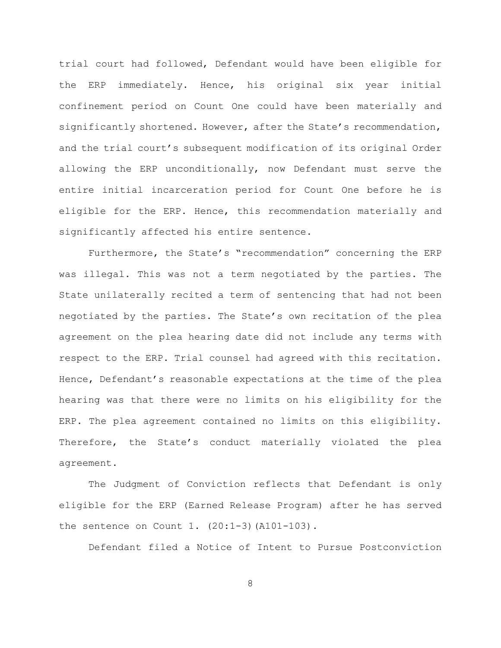trial court had followed, Defendant would have been eligible for the ERP immediately. Hence, his original six year initial confinement period on Count One could have been materially and significantly shortened. However, after the State's recommendation, and the trial court's subsequent modification of its original Order allowing the ERP unconditionally, now Defendant must serve the entire initial incarceration period for Count One before he is eligible for the ERP. Hence, this recommendation materially and significantly affected his entire sentence.

Furthermore, the State's "recommendation" concerning the ERP was illegal. This was not a term negotiated by the parties. The State unilaterally recited a term of sentencing that had not been negotiated by the parties. The State's own recitation of the plea agreement on the plea hearing date did not include any terms with respect to the ERP. Trial counsel had agreed with this recitation. Hence, Defendant's reasonable expectations at the time of the plea hearing was that there were no limits on his eligibility for the ERP. The plea agreement contained no limits on this eligibility. Therefore, the State's conduct materially violated the plea agreement.

The Judgment of Conviction reflects that Defendant is only eligible for the ERP (Earned Release Program) after he has served the sentence on Count 1. (20:1-3)(A101-103).

Defendant filed a Notice of Intent to Pursue Postconviction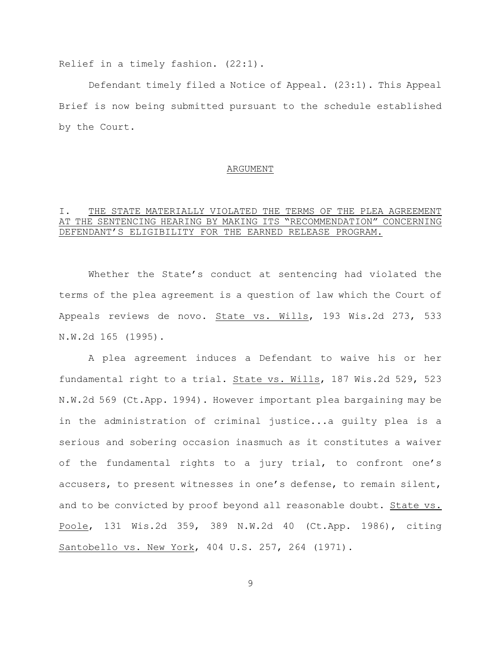Relief in a timely fashion. (22:1).

Defendant timely filed a Notice of Appeal. (23:1). This Appeal Brief is now being submitted pursuant to the schedule established by the Court.

#### ARGUMENT

## I. THE STATE MATERIALLY VIOLATED THE TERMS OF THE PLEA AGREEMENT AT THE SENTENCING HEARING BY MAKING ITS "RECOMMENDATION" CONCERNING DEFENDANT'S ELIGIBILITY FOR THE EARNED RELEASE PROGRAM.

Whether the State's conduct at sentencing had violated the terms of the plea agreement is a question of law which the Court of Appeals reviews de novo. State vs. Wills, 193 Wis.2d 273, 533 N.W.2d 165 (1995).

A plea agreement induces a Defendant to waive his or her fundamental right to a trial. State vs. Wills, 187 Wis.2d 529, 523 N.W.2d 569 (Ct.App. 1994). However important plea bargaining may be in the administration of criminal justice...a guilty plea is a serious and sobering occasion inasmuch as it constitutes a waiver of the fundamental rights to a jury trial, to confront one's accusers, to present witnesses in one's defense, to remain silent, and to be convicted by proof beyond all reasonable doubt. State vs. Poole, 131 Wis.2d 359, 389 N.W.2d 40 (Ct.App. 1986), citing Santobello vs. New York, 404 U.S. 257, 264 (1971).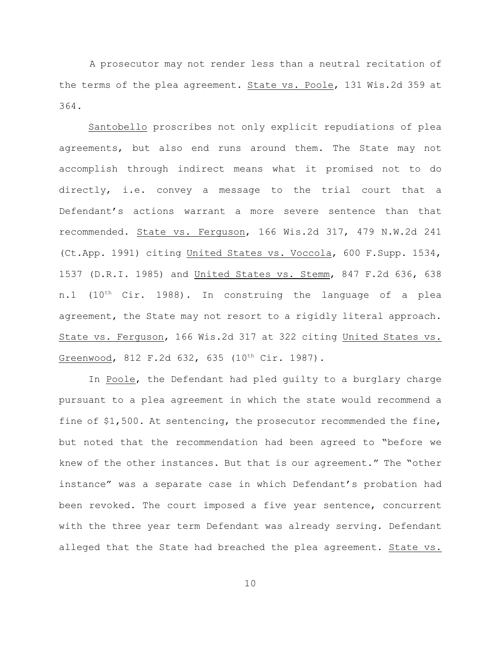A prosecutor may not render less than a neutral recitation of the terms of the plea agreement. State vs. Poole, 131 Wis.2d 359 at 364.

Santobello proscribes not only explicit repudiations of plea agreements, but also end runs around them. The State may not accomplish through indirect means what it promised not to do directly, i.e. convey a message to the trial court that a Defendant's actions warrant a more severe sentence than that recommended. State vs. Ferguson, 166 Wis.2d 317, 479 N.W.2d 241 (Ct.App. 1991) citing United States vs. Voccola, 600 F.Supp. 1534, 1537 (D.R.I. 1985) and United States vs. Stemm, 847 F.2d 636, 638 n.1 (10<sup>th</sup> Cir. 1988). In construing the language of a plea agreement, the State may not resort to a rigidly literal approach. State vs. Ferguson, 166 Wis.2d 317 at 322 citing United States vs. Greenwood, 812 F.2d 632, 635 (10<sup>th</sup> Cir. 1987).

In Poole, the Defendant had pled guilty to a burglary charge pursuant to a plea agreement in which the state would recommend a fine of \$1,500. At sentencing, the prosecutor recommended the fine, but noted that the recommendation had been agreed to "before we knew of the other instances. But that is our agreement." The "other instance" was a separate case in which Defendant's probation had been revoked. The court imposed a five year sentence, concurrent with the three year term Defendant was already serving. Defendant alleged that the State had breached the plea agreement. State vs.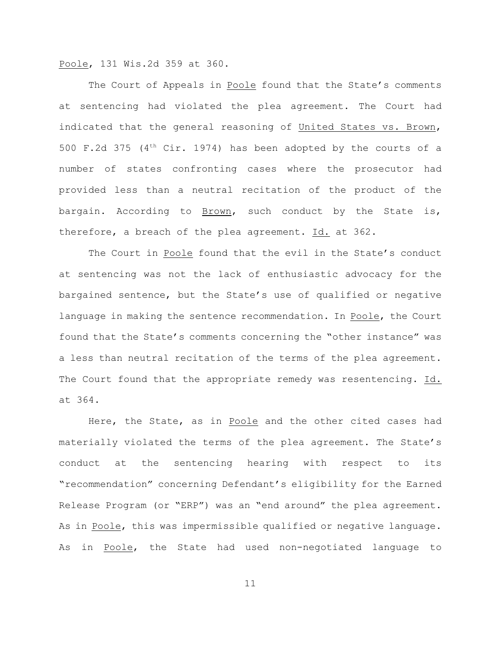Poole, 131 Wis.2d 359 at 360.

The Court of Appeals in Poole found that the State's comments at sentencing had violated the plea agreement. The Court had indicated that the general reasoning of United States vs. Brown, 500 F.2d 375 ( $4<sup>th</sup>$  Cir. 1974) has been adopted by the courts of a number of states confronting cases where the prosecutor had provided less than a neutral recitation of the product of the bargain. According to Brown, such conduct by the State is, therefore, a breach of the plea agreement. Id. at 362.

The Court in Poole found that the evil in the State's conduct at sentencing was not the lack of enthusiastic advocacy for the bargained sentence, but the State's use of qualified or negative language in making the sentence recommendation. In Poole, the Court found that the State's comments concerning the "other instance" was a less than neutral recitation of the terms of the plea agreement. The Court found that the appropriate remedy was resentencing. Id. at 364.

Here, the State, as in Poole and the other cited cases had materially violated the terms of the plea agreement. The State's conduct at the sentencing hearing with respect to its "recommendation" concerning Defendant's eligibility for the Earned Release Program (or "ERP") was an "end around" the plea agreement. As in Poole, this was impermissible qualified or negative language. As in Poole, the State had used non-negotiated language to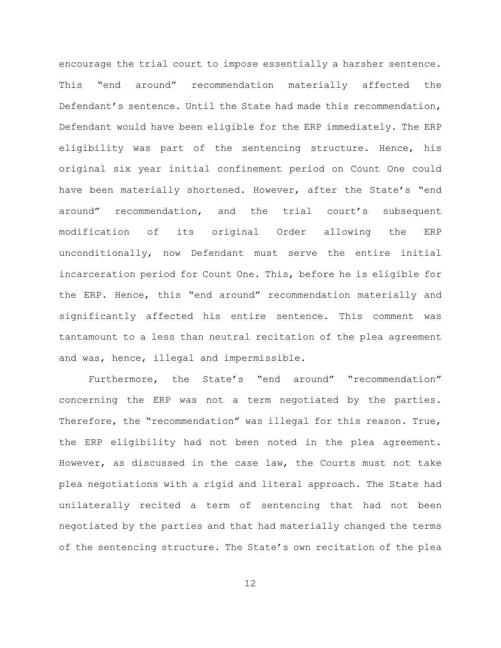encourage the trial court to impose essentially a harsher sentence. This "end around" recommendation materially affected the Defendant's sentence. Until the State had made this recommendation, Defendant would have been eligible for the ERP immediately. The ERP eligibility was part of the sentencing structure. Hence, his original six year initial confinement period on Count One could have been materially shortened. However, after the State's "end around" recommendation, and the trial court's subsequent modification of its original Order allowing the ERP unconditionally, now Defendant must serve the entire initial incarceration period for Count One. This, before he is eligible for the ERP. Hence, this "end around" recommendation materially and significantly affected his entire sentence. This comment was tantamount to a less than neutral recitation of the plea agreement and was, hence, illegal and impermissible.

Furthermore, the State's "end around" "recommendation" concerning the ERP was not a term negotiated by the parties. Therefore, the "recommendation" was illegal for this reason. True, the ERP eligibility had not been noted in the plea agreement. However, as discussed in the case law, the Courts must not take plea negotiations with a rigid and literal approach. The State had unilaterally recited a term of sentencing that had not been negotiated by the parties and that had materially changed the terms of the sentencing structure. The State's own recitation of the plea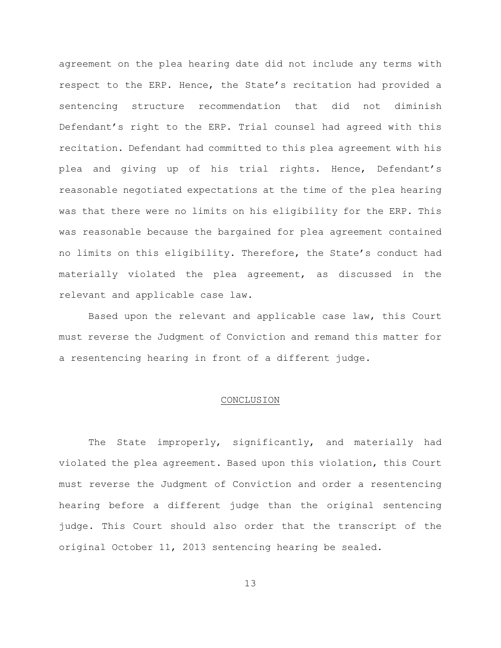agreement on the plea hearing date did not include any terms with respect to the ERP. Hence, the State's recitation had provided a sentencing structure recommendation that did not diminish Defendant's right to the ERP. Trial counsel had agreed with this recitation. Defendant had committed to this plea agreement with his plea and giving up of his trial rights. Hence, Defendant's reasonable negotiated expectations at the time of the plea hearing was that there were no limits on his eligibility for the ERP. This was reasonable because the bargained for plea agreement contained no limits on this eligibility. Therefore, the State's conduct had materially violated the plea agreement, as discussed in the relevant and applicable case law.

Based upon the relevant and applicable case law, this Court must reverse the Judgment of Conviction and remand this matter for a resentencing hearing in front of a different judge.

#### CONCLUSION

The State improperly, significantly, and materially had violated the plea agreement. Based upon this violation, this Court must reverse the Judgment of Conviction and order a resentencing hearing before a different judge than the original sentencing judge. This Court should also order that the transcript of the original October 11, 2013 sentencing hearing be sealed.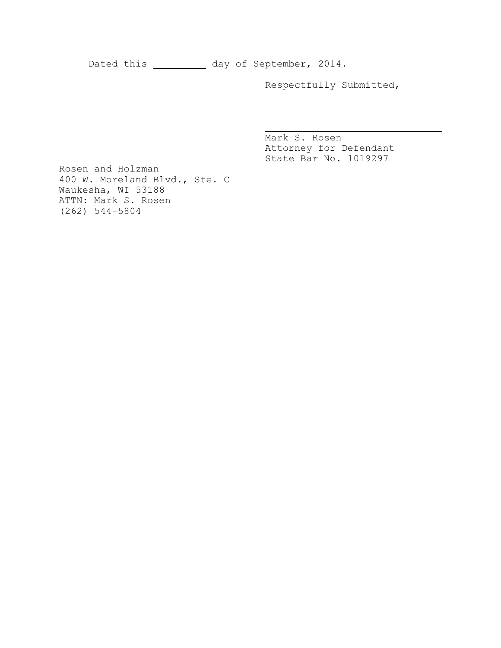Dated this \_\_\_\_\_\_\_\_\_\_\_ day of September, 2014.

Respectfully Submitted,

Mark S. Rosen Attorney for Defendant State Bar No. 1019297

Rosen and Holzman 400 W. Moreland Blvd., Ste. C Waukesha, WI 53188 ATTN: Mark S. Rosen (262) 544-5804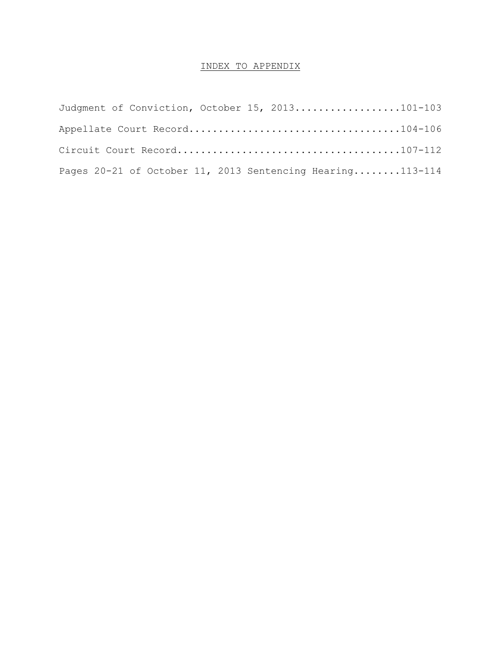## INDEX TO APPENDIX

| Judgment of Conviction, October 15, 2013101-103             |  |
|-------------------------------------------------------------|--|
|                                                             |  |
|                                                             |  |
| Pages $20-21$ of October 11, 2013 Sentencing Hearing113-114 |  |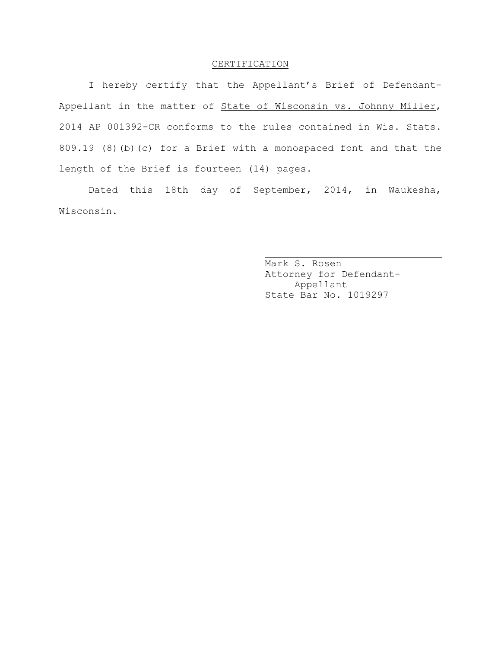### CERTIFICATION

I hereby certify that the Appellant's Brief of Defendant-Appellant in the matter of State of Wisconsin vs. Johnny Miller, 2014 AP 001392-CR conforms to the rules contained in Wis. Stats. 809.19 (8)(b)(c) for a Brief with a monospaced font and that the length of the Brief is fourteen (14) pages.

Dated this 18th day of September, 2014, in Waukesha, Wisconsin.

Mark S. Rosen Attorney for Defendant-Appellant State Bar No. 1019297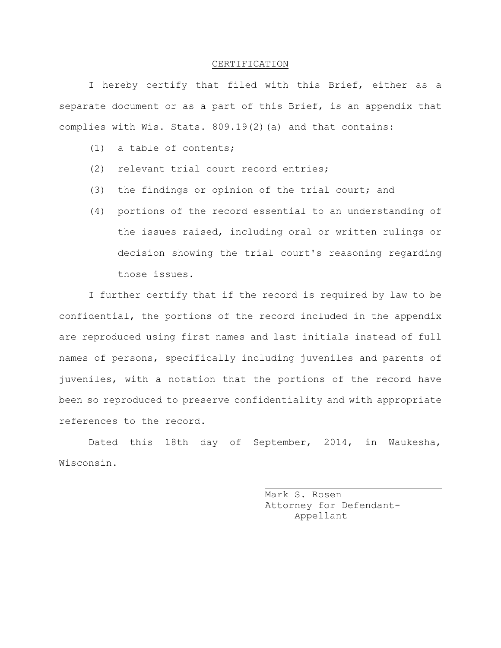#### CERTIFICATION

I hereby certify that filed with this Brief, either as a separate document or as a part of this Brief, is an appendix that complies with Wis. Stats. 809.19(2)(a) and that contains:

- (1) a table of contents;
- (2) relevant trial court record entries;
- (3) the findings or opinion of the trial court; and
- (4) portions of the record essential to an understanding of the issues raised, including oral or written rulings or decision showing the trial court's reasoning regarding those issues.

I further certify that if the record is required by law to be confidential, the portions of the record included in the appendix are reproduced using first names and last initials instead of full names of persons, specifically including juveniles and parents of juveniles, with a notation that the portions of the record have been so reproduced to preserve confidentiality and with appropriate references to the record.

Dated this 18th day of September, 2014, in Waukesha, Wisconsin.

Mark S. Rosen Attorney for Defendant-Appellant